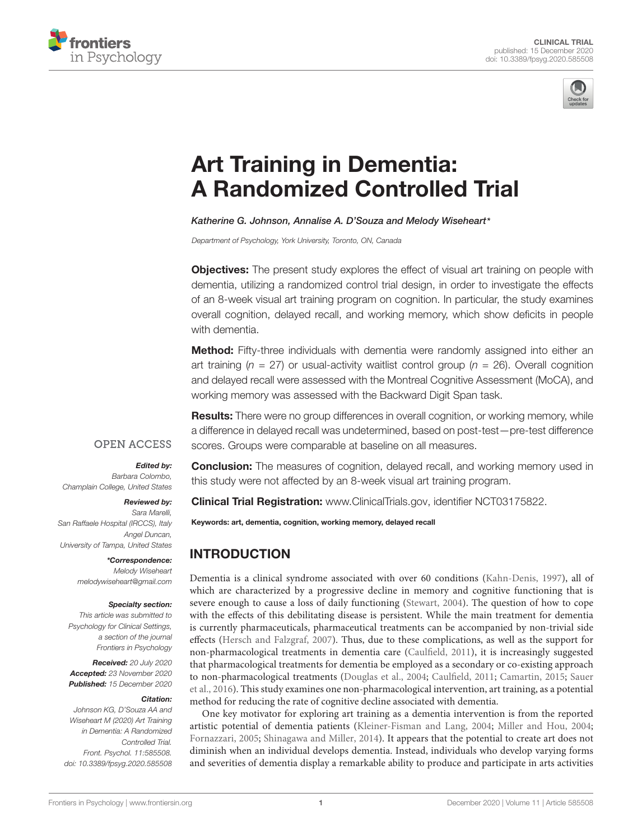



# Art Training in Dementia: [A Randomized Controlled Trial](https://www.frontiersin.org/articles/10.3389/fpsyg.2020.585508/full)

#### Katherine G. Johnson, Annalise A. D'Souza and Melody Wiseheart\*

Department of Psychology, York University, Toronto, ON, Canada

**Objectives:** The present study explores the effect of visual art training on people with dementia, utilizing a randomized control trial design, in order to investigate the effects of an 8-week visual art training program on cognition. In particular, the study examines overall cognition, delayed recall, and working memory, which show deficits in people with dementia.

**Method:** Fifty-three individuals with dementia were randomly assigned into either an art training ( $n = 27$ ) or usual-activity waitlist control group ( $n = 26$ ). Overall cognition and delayed recall were assessed with the Montreal Cognitive Assessment (MoCA), and working memory was assessed with the Backward Digit Span task.

**Results:** There were no group differences in overall cognition, or working memory, while a difference in delayed recall was undetermined, based on post-test—pre-test difference scores. Groups were comparable at baseline on all measures.

#### **OPEN ACCESS**

#### Edited by:

Barbara Colombo, Champlain College, United States

Reviewed by: Sara Marelli, San Raffaele Hospital (IRCCS), Italy Angel Duncan,

University of Tampa, United States \*Correspondence: Melody Wiseheart

melodywiseheart@gmail.com

#### Specialty section:

This article was submitted to Psychology for Clinical Settings, a section of the journal Frontiers in Psychology

Received: 20 July 2020 Accepted: 23 November 2020 Published: 15 December 2020

#### Citation:

Johnson KG, D'Souza AA and Wiseheart M (2020) Art Training in Dementia: A Randomized Controlled Trial. Front. Psychol. 11:585508. doi: [10.3389/fpsyg.2020.585508](https://doi.org/10.3389/fpsyg.2020.585508)

**Conclusion:** The measures of cognition, delayed recall, and working memory used in this study were not affected by an 8-week visual art training program.

Clinical Trial Registration: [www.ClinicalTrials.gov,](http://www.ClinicalTrials.gov) identifier NCT03175822.

Keywords: art, dementia, cognition, working memory, delayed recall

# INTRODUCTION

Dementia is a clinical syndrome associated with over 60 conditions [\(Kahn-Denis,](#page-8-0) [1997\)](#page-8-0), all of which are characterized by a progressive decline in memory and cognitive functioning that is severe enough to cause a loss of daily functioning [\(Stewart,](#page-8-1) [2004\)](#page-8-1). The question of how to cope with the effects of this debilitating disease is persistent. While the main treatment for dementia is currently pharmaceuticals, pharmaceutical treatments can be accompanied by non-trivial side effects [\(Hersch and Falzgraf,](#page-8-2) [2007\)](#page-8-2). Thus, due to these complications, as well as the support for non-pharmacological treatments in dementia care [\(Caulfield,](#page-8-3) [2011\)](#page-8-3), it is increasingly suggested that pharmacological treatments for dementia be employed as a secondary or co-existing approach to non-pharmacological treatments [\(Douglas et al.,](#page-8-4) [2004;](#page-8-4) [Caulfield,](#page-8-3) [2011;](#page-8-3) [Camartin,](#page-7-0) [2015;](#page-7-0) [Sauer](#page-8-5) [et al.,](#page-8-5) [2016\)](#page-8-5). This study examines one non-pharmacological intervention, art training, as a potential method for reducing the rate of cognitive decline associated with dementia.

One key motivator for exploring art training as a dementia intervention is from the reported artistic potential of dementia patients [\(Kleiner-Fisman and Lang,](#page-8-6) [2004;](#page-8-6) [Miller and Hou,](#page-8-7) [2004;](#page-8-7) [Fornazzari,](#page-8-8) [2005;](#page-8-8) [Shinagawa and Miller,](#page-8-9) [2014\)](#page-8-9). It appears that the potential to create art does not diminish when an individual develops dementia. Instead, individuals who develop varying forms and severities of dementia display a remarkable ability to produce and participate in arts activities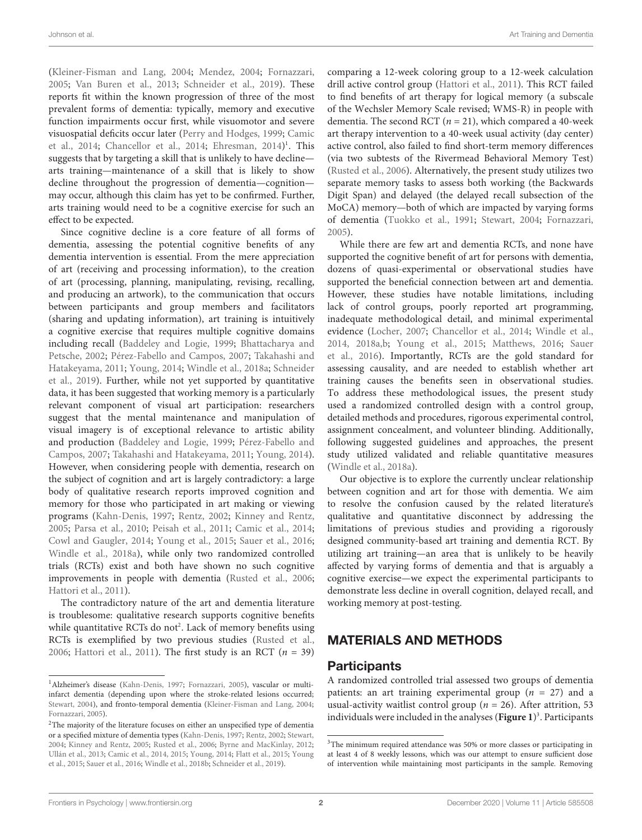[\(Kleiner-Fisman and Lang,](#page-8-6) [2004;](#page-8-6) [Mendez,](#page-8-10) [2004;](#page-8-10) [Fornazzari,](#page-8-8) [2005;](#page-8-8) [Van Buren et al.,](#page-8-11) [2013;](#page-8-11) [Schneider et al.,](#page-8-12) [2019\)](#page-8-12). These reports fit within the known progression of three of the most prevalent forms of dementia: typically, memory and executive function impairments occur first, while visuomotor and severe visuospatial deficits occur later [\(Perry and Hodges,](#page-8-13) [1999;](#page-8-13) [Camic](#page-8-14) [et al.,](#page-8-14) [2014;](#page-8-14) [Chancellor et al.,](#page-8-15) [2014;](#page-8-15) [Ehresman,](#page-8-16) [2014\)](#page-8-16) [1](#page-1-0) . This suggests that by targeting a skill that is unlikely to have decline arts training—maintenance of a skill that is likely to show decline throughout the progression of dementia—cognition may occur, although this claim has yet to be confirmed. Further, arts training would need to be a cognitive exercise for such an effect to be expected.

Since cognitive decline is a core feature of all forms of dementia, assessing the potential cognitive benefits of any dementia intervention is essential. From the mere appreciation of art (receiving and processing information), to the creation of art (processing, planning, manipulating, revising, recalling, and producing an artwork), to the communication that occurs between participants and group members and facilitators (sharing and updating information), art training is intuitively a cognitive exercise that requires multiple cognitive domains including recall [\(Baddeley and Logie,](#page-7-1) [1999;](#page-7-1) [Bhattacharya and](#page-7-2) [Petsche,](#page-7-2) [2002;](#page-7-2) [Pérez-Fabello and Campos,](#page-8-17) [2007;](#page-8-17) [Takahashi and](#page-8-18) [Hatakeyama,](#page-8-18) [2011;](#page-8-18) [Young,](#page-9-0) [2014;](#page-9-0) [Windle et al.,](#page-8-19) [2018a;](#page-8-19) [Schneider](#page-8-12) [et al.,](#page-8-12) [2019\)](#page-8-12). Further, while not yet supported by quantitative data, it has been suggested that working memory is a particularly relevant component of visual art participation: researchers suggest that the mental maintenance and manipulation of visual imagery is of exceptional relevance to artistic ability and production [\(Baddeley and Logie,](#page-7-1) [1999;](#page-7-1) [Pérez-Fabello and](#page-8-17) [Campos,](#page-8-17) [2007;](#page-8-17) [Takahashi and Hatakeyama,](#page-8-18) [2011;](#page-8-18) [Young,](#page-9-0) [2014\)](#page-9-0). However, when considering people with dementia, research on the subject of cognition and art is largely contradictory: a large body of qualitative research reports improved cognition and memory for those who participated in art making or viewing programs [\(Kahn-Denis,](#page-8-0) [1997;](#page-8-0) [Rentz,](#page-8-20) [2002;](#page-8-20) [Kinney and Rentz,](#page-8-21) [2005;](#page-8-21) [Parsa et al.,](#page-8-22) [2010;](#page-8-22) [Peisah et al.,](#page-8-23) [2011;](#page-8-23) [Camic et al.,](#page-8-14) [2014;](#page-8-14) [Cowl and Gaugler,](#page-8-24) [2014;](#page-8-24) [Young et al.,](#page-9-1) [2015;](#page-9-1) [Sauer et al.,](#page-8-5) [2016;](#page-8-5) [Windle et al.,](#page-8-19) [2018a\)](#page-8-19), while only two randomized controlled trials (RCTs) exist and both have shown no such cognitive improvements in people with dementia [\(Rusted et al.,](#page-8-25) [2006;](#page-8-25) [Hattori et al.,](#page-8-26) [2011\)](#page-8-26).

The contradictory nature of the art and dementia literature is troublesome: qualitative research supports cognitive benefits while quantitative RCTs do not<sup>[2](#page-1-1)</sup>. Lack of memory benefits using RCTs is exemplified by two previous studies [\(Rusted et al.,](#page-8-25) [2006;](#page-8-25) [Hattori et al.,](#page-8-26) [2011\)](#page-8-26). The first study is an RCT  $(n = 39)$  comparing a 12-week coloring group to a 12-week calculation drill active control group [\(Hattori et al.,](#page-8-26) [2011\)](#page-8-26). This RCT failed to find benefits of art therapy for logical memory (a subscale of the Wechsler Memory Scale revised; WMS-R) in people with dementia. The second RCT ( $n = 21$ ), which compared a 40-week art therapy intervention to a 40-week usual activity (day center) active control, also failed to find short-term memory differences (via two subtests of the Rivermead Behavioral Memory Test) [\(Rusted et al.,](#page-8-25) [2006\)](#page-8-25). Alternatively, the present study utilizes two separate memory tasks to assess both working (the Backwards Digit Span) and delayed (the delayed recall subsection of the MoCA) memory—both of which are impacted by varying forms of dementia [\(Tuokko et al.,](#page-8-30) [1991;](#page-8-30) [Stewart,](#page-8-1) [2004;](#page-8-1) [Fornazzari,](#page-8-8) [2005\)](#page-8-8).

While there are few art and dementia RCTs, and none have supported the cognitive benefit of art for persons with dementia, dozens of quasi-experimental or observational studies have supported the beneficial connection between art and dementia. However, these studies have notable limitations, including lack of control groups, poorly reported art programming, inadequate methodological detail, and minimal experimental evidence [\(Locher,](#page-8-31) [2007;](#page-8-31) [Chancellor et al.,](#page-8-15) [2014;](#page-8-15) [Windle et al.,](#page-9-3) [2014,](#page-9-3) [2018a,](#page-8-19)[b;](#page-9-2) [Young et al.,](#page-9-1) [2015;](#page-9-1) [Matthews,](#page-8-32) [2016;](#page-8-32) [Sauer](#page-8-5) [et al.,](#page-8-5) [2016\)](#page-8-5). Importantly, RCTs are the gold standard for assessing causality, and are needed to establish whether art training causes the benefits seen in observational studies. To address these methodological issues, the present study used a randomized controlled design with a control group, detailed methods and procedures, rigorous experimental control, assignment concealment, and volunteer blinding. Additionally, following suggested guidelines and approaches, the present study utilized validated and reliable quantitative measures [\(Windle et al.,](#page-8-19) [2018a\)](#page-8-19).

Our objective is to explore the currently unclear relationship between cognition and art for those with dementia. We aim to resolve the confusion caused by the related literature's qualitative and quantitative disconnect by addressing the limitations of previous studies and providing a rigorously designed community-based art training and dementia RCT. By utilizing art training—an area that is unlikely to be heavily affected by varying forms of dementia and that is arguably a cognitive exercise—we expect the experimental participants to demonstrate less decline in overall cognition, delayed recall, and working memory at post-testing.

# MATERIALS AND METHODS

#### **Participants**

A randomized controlled trial assessed two groups of dementia patients: an art training experimental group ( $n = 27$ ) and a usual-activity waitlist control group ( $n = 26$ ). After attrition, 53 individuals were included in the analyses (**[Figure 1](#page-2-0)**) [3](#page-1-2) . Participants

<span id="page-1-0"></span><sup>&</sup>lt;sup>1</sup> Alzheimer's disease [\(Kahn-Denis,](#page-8-0) [1997;](#page-8-0) [Fornazzari,](#page-8-8) [2005\)](#page-8-8), vascular or multiinfarct dementia (depending upon where the stroke-related lesions occurred; [Stewart,](#page-8-1) [2004\)](#page-8-1), and fronto-temporal dementia [\(Kleiner-Fisman and Lang,](#page-8-6) [2004;](#page-8-6) [Fornazzari,](#page-8-8) [2005\)](#page-8-8).

<span id="page-1-1"></span><sup>&</sup>lt;sup>2</sup>The majority of the literature focuses on either an unspecified type of dementia or a specified mixture of dementia types [\(Kahn-Denis,](#page-8-0) [1997;](#page-8-0) [Rentz,](#page-8-20) [2002;](#page-8-20) [Stewart,](#page-8-1) [2004;](#page-8-1) [Kinney and Rentz,](#page-8-21) [2005;](#page-8-21) [Rusted et al.,](#page-8-25) [2006;](#page-8-25) [Byrne and MacKinlay,](#page-7-3) [2012;](#page-7-3) [Ullán et al.,](#page-8-27) [2013;](#page-8-27) [Camic et al.,](#page-8-14) [2014,](#page-8-14) [2015;](#page-8-28) [Young,](#page-9-0) [2014;](#page-9-0) [Flatt et al.,](#page-8-29) [2015;](#page-8-29) [Young](#page-9-1) [et al.,](#page-9-1) [2015;](#page-9-1) [Sauer et al.,](#page-8-5) [2016;](#page-8-5) [Windle et al.,](#page-9-2) [2018b;](#page-9-2) [Schneider et al.,](#page-8-12) [2019\)](#page-8-12).

<span id="page-1-2"></span><sup>&</sup>lt;sup>3</sup>The minimum required attendance was 50% or more classes or participating in at least 4 of 8 weekly lessons, which was our attempt to ensure sufficient dose of intervention while maintaining most participants in the sample. Removing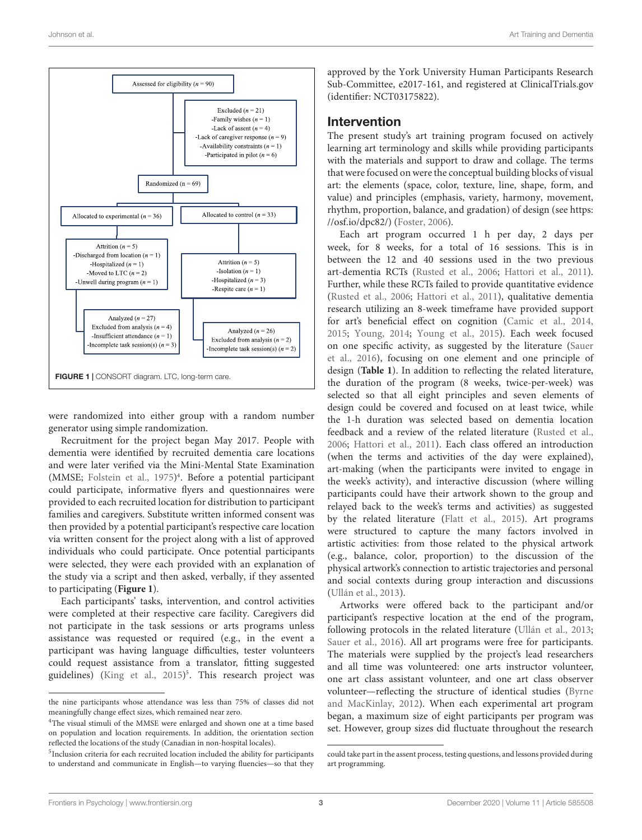

<span id="page-2-0"></span>were randomized into either group with a random number generator using simple randomization.

Recruitment for the project began May 2017. People with dementia were identified by recruited dementia care locations and were later verified via the Mini-Mental State Examination (MMSE; [Folstein et al.,](#page-8-33) [1975\)](#page-8-33) [4](#page-2-1) . Before a potential participant could participate, informative flyers and questionnaires were provided to each recruited location for distribution to participant families and caregivers. Substitute written informed consent was then provided by a potential participant's respective care location via written consent for the project along with a list of approved individuals who could participate. Once potential participants were selected, they were each provided with an explanation of the study via a script and then asked, verbally, if they assented to participating (**[Figure 1](#page-2-0)**).

Each participants' tasks, intervention, and control activities were completed at their respective care facility. Caregivers did not participate in the task sessions or arts programs unless assistance was requested or required (e.g., in the event a participant was having language difficulties, tester volunteers could request assistance from a translator, fitting suggested guidelines) [\(King et al.,](#page-8-34) [2015\)](#page-8-34) [5](#page-2-2) . This research project was

approved by the York University Human Participants Research Sub-Committee, e2017-161, and registered at [ClinicalTrials.gov](https://clinicaltrials.gov) (identifier: NCT03175822).

#### Intervention

The present study's art training program focused on actively learning art terminology and skills while providing participants with the materials and support to draw and collage. The terms that were focused on were the conceptual building blocks of visual art: the elements (space, color, texture, line, shape, form, and value) and principles (emphasis, variety, harmony, movement, rhythm, proportion, balance, and gradation) of design (see [https:](https://osf.io/dpc82/) [//osf.io/dpc82/\)](https://osf.io/dpc82/) [\(Foster,](#page-8-35) [2006\)](#page-8-35).

Each art program occurred 1 h per day, 2 days per week, for 8 weeks, for a total of 16 sessions. This is in between the 12 and 40 sessions used in the two previous art-dementia RCTs [\(Rusted et al.,](#page-8-25) [2006;](#page-8-25) [Hattori et al.,](#page-8-26) [2011\)](#page-8-26). Further, while these RCTs failed to provide quantitative evidence [\(Rusted et al.,](#page-8-25) [2006;](#page-8-25) [Hattori et al.,](#page-8-26) [2011\)](#page-8-26), qualitative dementia research utilizing an 8-week timeframe have provided support for art's beneficial effect on cognition [\(Camic et al.,](#page-8-14) [2014,](#page-8-14) [2015;](#page-8-28) [Young,](#page-9-0) [2014;](#page-9-0) [Young et al.,](#page-9-1) [2015\)](#page-9-1). Each week focused on one specific activity, as suggested by the literature [\(Sauer](#page-8-5) [et al.,](#page-8-5) [2016\)](#page-8-5), focusing on one element and one principle of design (**[Table 1](#page-3-0)**). In addition to reflecting the related literature, the duration of the program (8 weeks, twice-per-week) was selected so that all eight principles and seven elements of design could be covered and focused on at least twice, while the 1-h duration was selected based on dementia location feedback and a review of the related literature [\(Rusted et al.,](#page-8-25) [2006;](#page-8-25) [Hattori et al.,](#page-8-26) [2011\)](#page-8-26). Each class offered an introduction (when the terms and activities of the day were explained), art-making (when the participants were invited to engage in the week's activity), and interactive discussion (where willing participants could have their artwork shown to the group and relayed back to the week's terms and activities) as suggested by the related literature [\(Flatt et al.,](#page-8-29) [2015\)](#page-8-29). Art programs were structured to capture the many factors involved in artistic activities: from those related to the physical artwork (e.g., balance, color, proportion) to the discussion of the physical artwork's connection to artistic trajectories and personal and social contexts during group interaction and discussions [\(Ullán et al.,](#page-8-27) [2013\)](#page-8-27).

Artworks were offered back to the participant and/or participant's respective location at the end of the program, following protocols in the related literature [\(Ullán et al.,](#page-8-27) [2013;](#page-8-27) [Sauer et al.,](#page-8-5) [2016\)](#page-8-5). All art programs were free for participants. The materials were supplied by the project's lead researchers and all time was volunteered: one arts instructor volunteer, one art class assistant volunteer, and one art class observer volunteer—reflecting the structure of identical studies [\(Byrne](#page-7-3) [and MacKinlay,](#page-7-3) [2012\)](#page-7-3). When each experimental art program began, a maximum size of eight participants per program was set. However, group sizes did fluctuate throughout the research

the nine participants whose attendance was less than 75% of classes did not meaningfully change effect sizes, which remained near zero.

<span id="page-2-1"></span><sup>&</sup>lt;sup>4</sup>The visual stimuli of the MMSE were enlarged and shown one at a time based on population and location requirements. In addition, the orientation section reflected the locations of the study (Canadian in non-hospital locales).

<span id="page-2-2"></span><sup>&</sup>lt;sup>5</sup>Inclusion criteria for each recruited location included the ability for participants to understand and communicate in English—to varying fluencies—so that they

could take part in the assent process, testing questions, and lessons provided during art programming.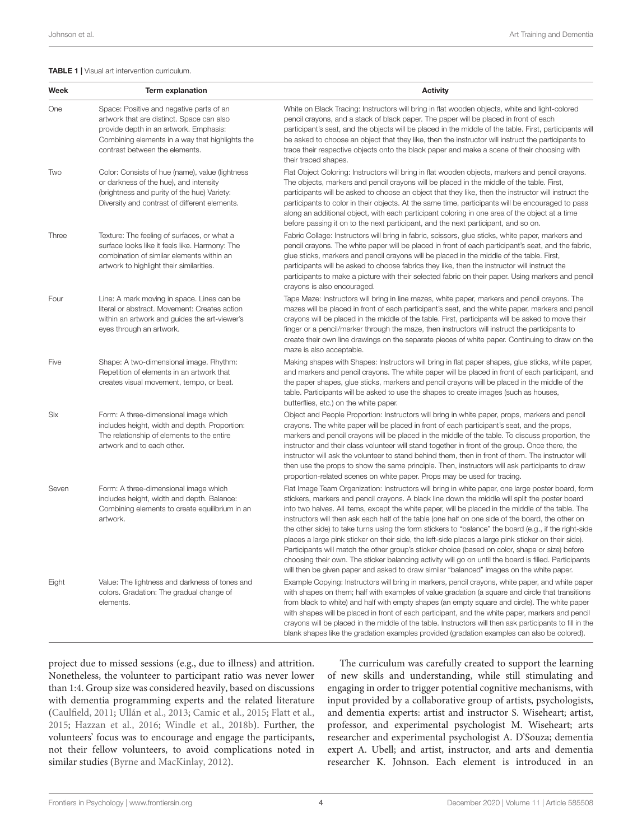#### <span id="page-3-0"></span>TABLE 1 | Visual art intervention curriculum.

| Week  | <b>Term explanation</b>                                                                                                                                                                                              | <b>Activity</b>                                                                                                                                                                                                                                                                                                                                                                                                                                                                                                                                                                                                                                                                                                                                                                                                                                                                                                                         |
|-------|----------------------------------------------------------------------------------------------------------------------------------------------------------------------------------------------------------------------|-----------------------------------------------------------------------------------------------------------------------------------------------------------------------------------------------------------------------------------------------------------------------------------------------------------------------------------------------------------------------------------------------------------------------------------------------------------------------------------------------------------------------------------------------------------------------------------------------------------------------------------------------------------------------------------------------------------------------------------------------------------------------------------------------------------------------------------------------------------------------------------------------------------------------------------------|
| One   | Space: Positive and negative parts of an<br>artwork that are distinct. Space can also<br>provide depth in an artwork. Emphasis:<br>Combining elements in a way that highlights the<br>contrast between the elements. | White on Black Tracing: Instructors will bring in flat wooden objects, white and light-colored<br>pencil crayons, and a stack of black paper. The paper will be placed in front of each<br>participant's seat, and the objects will be placed in the middle of the table. First, participants will<br>be asked to choose an object that they like, then the instructor will instruct the participants to<br>trace their respective objects onto the black paper and make a scene of their choosing with<br>their traced shapes.                                                                                                                                                                                                                                                                                                                                                                                                         |
| Two   | Color: Consists of hue (name), value (lightness<br>or darkness of the hue), and intensity<br>(brightness and purity of the hue) Variety:<br>Diversity and contrast of different elements.                            | Flat Object Coloring: Instructors will bring in flat wooden objects, markers and pencil crayons.<br>The objects, markers and pencil crayons will be placed in the middle of the table. First,<br>participants will be asked to choose an object that they like, then the instructor will instruct the<br>participants to color in their objects. At the same time, participants will be encouraged to pass<br>along an additional object, with each participant coloring in one area of the object at a time<br>before passing it on to the next participant, and the next participant, and so on.                                                                                                                                                                                                                                                                                                                                      |
| Three | Texture: The feeling of surfaces, or what a<br>surface looks like it feels like. Harmony: The<br>combination of similar elements within an<br>artwork to highlight their similarities.                               | Fabric Collage: Instructors will bring in fabric, scissors, glue sticks, white paper, markers and<br>pencil crayons. The white paper will be placed in front of each participant's seat, and the fabric,<br>glue sticks, markers and pencil crayons will be placed in the middle of the table. First,<br>participants will be asked to choose fabrics they like, then the instructor will instruct the<br>participants to make a picture with their selected fabric on their paper. Using markers and pencil<br>crayons is also encouraged.                                                                                                                                                                                                                                                                                                                                                                                             |
| Four  | Line: A mark moving in space. Lines can be<br>literal or abstract. Movement: Creates action<br>within an artwork and guides the art-viewer's<br>eyes through an artwork.                                             | Tape Maze: Instructors will bring in line mazes, white paper, markers and pencil crayons. The<br>mazes will be placed in front of each participant's seat, and the white paper, markers and pencil<br>crayons will be placed in the middle of the table. First, participants will be asked to move their<br>finger or a pencil/marker through the maze, then instructors will instruct the participants to<br>create their own line drawings on the separate pieces of white paper. Continuing to draw on the<br>maze is also acceptable.                                                                                                                                                                                                                                                                                                                                                                                               |
| Five  | Shape: A two-dimensional image. Rhythm:<br>Repetition of elements in an artwork that<br>creates visual movement, tempo, or beat.                                                                                     | Making shapes with Shapes: Instructors will bring in flat paper shapes, glue sticks, white paper,<br>and markers and pencil crayons. The white paper will be placed in front of each participant, and<br>the paper shapes, glue sticks, markers and pencil crayons will be placed in the middle of the<br>table. Participants will be asked to use the shapes to create images (such as houses,<br>butterflies, etc.) on the white paper.                                                                                                                                                                                                                                                                                                                                                                                                                                                                                               |
| Six   | Form: A three-dimensional image which<br>includes height, width and depth. Proportion:<br>The relationship of elements to the entire<br>artwork and to each other.                                                   | Object and People Proportion: Instructors will bring in white paper, props, markers and pencil<br>crayons. The white paper will be placed in front of each participant's seat, and the props,<br>markers and pencil crayons will be placed in the middle of the table. To discuss proportion, the<br>instructor and their class volunteer will stand together in front of the group. Once there, the<br>instructor will ask the volunteer to stand behind them, then in front of them. The instructor will<br>then use the props to show the same principle. Then, instructors will ask participants to draw<br>proportion-related scenes on white paper. Props may be used for tracing.                                                                                                                                                                                                                                                |
| Seven | Form: A three-dimensional image which<br>includes height, width and depth. Balance:<br>Combining elements to create equilibrium in an<br>artwork.                                                                    | Flat Image Team Organization: Instructors will bring in white paper, one large poster board, form<br>stickers, markers and pencil crayons. A black line down the middle will split the poster board<br>into two halves. All items, except the white paper, will be placed in the middle of the table. The<br>instructors will then ask each half of the table (one half on one side of the board, the other on<br>the other side) to take turns using the form stickers to "balance" the board (e.g., if the right-side<br>places a large pink sticker on their side, the left-side places a large pink sticker on their side).<br>Participants will match the other group's sticker choice (based on color, shape or size) before<br>choosing their own. The sticker balancing activity will go on until the board is filled. Participants<br>will then be given paper and asked to draw similar "balanced" images on the white paper. |
| Eight | Value: The lightness and darkness of tones and<br>colors. Gradation: The gradual change of<br>elements.                                                                                                              | Example Copying: Instructors will bring in markers, pencil crayons, white paper, and white paper<br>with shapes on them; half with examples of value gradation (a square and circle that transitions<br>from black to white) and half with empty shapes (an empty square and circle). The white paper<br>with shapes will be placed in front of each participant, and the white paper, markers and pencil<br>crayons will be placed in the middle of the table. Instructors will then ask participants to fill in the<br>blank shapes like the gradation examples provided (gradation examples can also be colored).                                                                                                                                                                                                                                                                                                                    |

project due to missed sessions (e.g., due to illness) and attrition. Nonetheless, the volunteer to participant ratio was never lower than 1:4. Group size was considered heavily, based on discussions with dementia programming experts and the related literature [\(Caulfield,](#page-8-3) [2011;](#page-8-3) [Ullán et al.,](#page-8-27) [2013;](#page-8-27) [Camic et al.,](#page-8-28) [2015;](#page-8-28) [Flatt et al.,](#page-8-29) [2015;](#page-8-29) [Hazzan et al.,](#page-8-36) [2016;](#page-8-36) [Windle et al.,](#page-9-2) [2018b\)](#page-9-2). Further, the volunteers' focus was to encourage and engage the participants, not their fellow volunteers, to avoid complications noted in similar studies [\(Byrne and MacKinlay,](#page-7-3) [2012\)](#page-7-3).

The curriculum was carefully created to support the learning of new skills and understanding, while still stimulating and engaging in order to trigger potential cognitive mechanisms, with input provided by a collaborative group of artists, psychologists, and dementia experts: artist and instructor S. Wiseheart; artist, professor, and experimental psychologist M. Wiseheart; arts researcher and experimental psychologist A. D'Souza; dementia expert A. Ubell; and artist, instructor, and arts and dementia researcher K. Johnson. Each element is introduced in an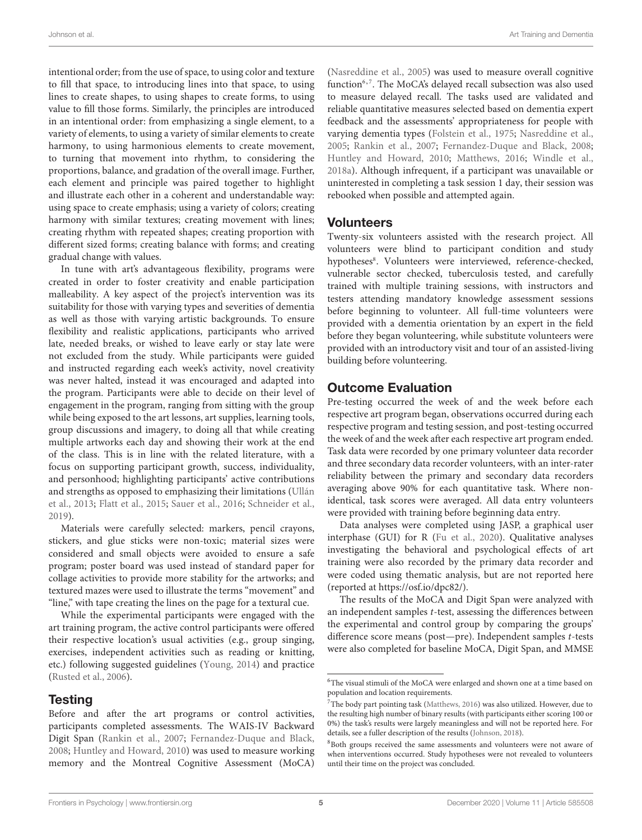intentional order; from the use of space, to using color and texture to fill that space, to introducing lines into that space, to using lines to create shapes, to using shapes to create forms, to using value to fill those forms. Similarly, the principles are introduced in an intentional order: from emphasizing a single element, to a variety of elements, to using a variety of similar elements to create harmony, to using harmonious elements to create movement, to turning that movement into rhythm, to considering the proportions, balance, and gradation of the overall image. Further, each element and principle was paired together to highlight and illustrate each other in a coherent and understandable way: using space to create emphasis; using a variety of colors; creating harmony with similar textures; creating movement with lines; creating rhythm with repeated shapes; creating proportion with different sized forms; creating balance with forms; and creating gradual change with values.

In tune with art's advantageous flexibility, programs were created in order to foster creativity and enable participation malleability. A key aspect of the project's intervention was its suitability for those with varying types and severities of dementia as well as those with varying artistic backgrounds. To ensure flexibility and realistic applications, participants who arrived late, needed breaks, or wished to leave early or stay late were not excluded from the study. While participants were guided and instructed regarding each week's activity, novel creativity was never halted, instead it was encouraged and adapted into the program. Participants were able to decide on their level of engagement in the program, ranging from sitting with the group while being exposed to the art lessons, art supplies, learning tools, group discussions and imagery, to doing all that while creating multiple artworks each day and showing their work at the end of the class. This is in line with the related literature, with a focus on supporting participant growth, success, individuality, and personhood; highlighting participants' active contributions and strengths as opposed to emphasizing their limitations [\(Ullán](#page-8-27) [et al.,](#page-8-27) [2013;](#page-8-27) [Flatt et al.,](#page-8-29) [2015;](#page-8-29) [Sauer et al.,](#page-8-5) [2016;](#page-8-5) [Schneider et al.,](#page-8-12) [2019\)](#page-8-12).

Materials were carefully selected: markers, pencil crayons, stickers, and glue sticks were non-toxic; material sizes were considered and small objects were avoided to ensure a safe program; poster board was used instead of standard paper for collage activities to provide more stability for the artworks; and textured mazes were used to illustrate the terms "movement" and "line," with tape creating the lines on the page for a textural cue.

While the experimental participants were engaged with the art training program, the active control participants were offered their respective location's usual activities (e.g., group singing, exercises, independent activities such as reading or knitting, etc.) following suggested guidelines [\(Young,](#page-9-0) [2014\)](#page-9-0) and practice [\(Rusted et al.,](#page-8-25) [2006\)](#page-8-25).

#### Testing

Before and after the art programs or control activities, participants completed assessments. The WAIS-IV Backward Digit Span [\(Rankin et al.,](#page-8-37) [2007;](#page-8-37) [Fernandez-Duque and Black,](#page-8-38) [2008;](#page-8-38) [Huntley and Howard,](#page-8-39) [2010\)](#page-8-39) was used to measure working memory and the Montreal Cognitive Assessment (MoCA)

[\(Nasreddine et al.,](#page-8-40) [2005\)](#page-8-40) was used to measure overall cognitive function<sup>[6](#page-4-0),[7](#page-4-1)</sup>. The MoCA's delayed recall subsection was also used to measure delayed recall. The tasks used are validated and reliable quantitative measures selected based on dementia expert feedback and the assessments' appropriateness for people with varying dementia types [\(Folstein et al.,](#page-8-33) [1975;](#page-8-33) [Nasreddine et al.,](#page-8-40) [2005;](#page-8-40) [Rankin et al.,](#page-8-37) [2007;](#page-8-37) [Fernandez-Duque and Black,](#page-8-38) [2008;](#page-8-38) [Huntley and Howard,](#page-8-39) [2010;](#page-8-39) [Matthews,](#page-8-32) [2016;](#page-8-32) [Windle et al.,](#page-8-19) [2018a\)](#page-8-19). Although infrequent, if a participant was unavailable or uninterested in completing a task session 1 day, their session was rebooked when possible and attempted again.

#### Volunteers

Twenty-six volunteers assisted with the research project. All volunteers were blind to participant condition and study hypotheses<sup>[8](#page-4-2)</sup>. Volunteers were interviewed, reference-checked, vulnerable sector checked, tuberculosis tested, and carefully trained with multiple training sessions, with instructors and testers attending mandatory knowledge assessment sessions before beginning to volunteer. All full-time volunteers were provided with a dementia orientation by an expert in the field before they began volunteering, while substitute volunteers were provided with an introductory visit and tour of an assisted-living building before volunteering.

#### Outcome Evaluation

Pre-testing occurred the week of and the week before each respective art program began, observations occurred during each respective program and testing session, and post-testing occurred the week of and the week after each respective art program ended. Task data were recorded by one primary volunteer data recorder and three secondary data recorder volunteers, with an inter-rater reliability between the primary and secondary data recorders averaging above 90% for each quantitative task. Where nonidentical, task scores were averaged. All data entry volunteers were provided with training before beginning data entry.

Data analyses were completed using JASP, a graphical user interphase (GUI) for R [\(Fu et al.,](#page-8-41) [2020\)](#page-8-41). Qualitative analyses investigating the behavioral and psychological effects of art training were also recorded by the primary data recorder and were coded using thematic analysis, but are not reported here (reported at [https://osf.io/dpc82/\)](https://osf.io/dpc82/).

The results of the MoCA and Digit Span were analyzed with an independent samples t-test, assessing the differences between the experimental and control group by comparing the groups' difference score means (post—pre). Independent samples t-tests were also completed for baseline MoCA, Digit Span, and MMSE

<span id="page-4-0"></span> $^6\!$  The visual stimuli of the MoCA were enlarged and shown one at a time based on population and location requirements.

<span id="page-4-1"></span> ${\rm ^7The}$  body part pointing task [\(Matthews,](#page-8-32) [2016\)](#page-8-32) was also utilized. However, due to the resulting high number of binary results (with participants either scoring 100 or 0%) the task's results were largely meaningless and will not be reported here. For details, see a fuller description of the results [\(Johnson,](#page-8-42) [2018\)](#page-8-42).

<span id="page-4-2"></span><sup>&</sup>lt;sup>8</sup>Both groups received the same assessments and volunteers were not aware of when interventions occurred. Study hypotheses were not revealed to volunteers until their time on the project was concluded.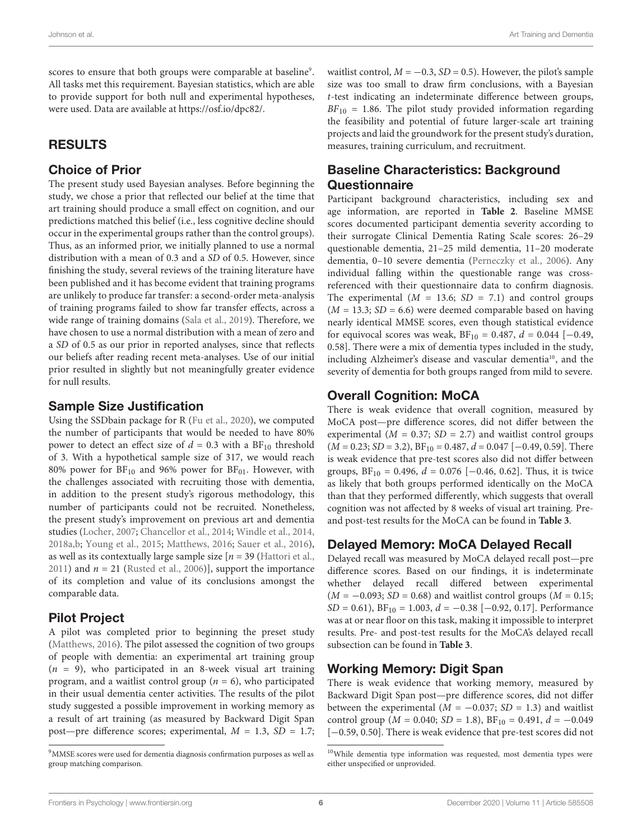scores to ensure that both groups were comparable at baseline<sup>[9](#page-5-0)</sup>. All tasks met this requirement. Bayesian statistics, which are able to provide support for both null and experimental hypotheses, were used. Data are available at [https://osf.io/dpc82/.](https://osf.io/dpc82/)

# RESULTS

#### Choice of Prior

The present study used Bayesian analyses. Before beginning the study, we chose a prior that reflected our belief at the time that art training should produce a small effect on cognition, and our predictions matched this belief (i.e., less cognitive decline should occur in the experimental groups rather than the control groups). Thus, as an informed prior, we initially planned to use a normal distribution with a mean of 0.3 and a SD of 0.5. However, since finishing the study, several reviews of the training literature have been published and it has become evident that training programs are unlikely to produce far transfer: a second-order meta-analysis of training programs failed to show far transfer effects, across a wide range of training domains [\(Sala et al.,](#page-8-43) [2019\)](#page-8-43). Therefore, we have chosen to use a normal distribution with a mean of zero and a SD of 0.5 as our prior in reported analyses, since that reflects our beliefs after reading recent meta-analyses. Use of our initial prior resulted in slightly but not meaningfully greater evidence for null results.

#### Sample Size Justification

Using the SSDbain package for R [\(Fu et al.,](#page-8-41) [2020\)](#page-8-41), we computed the number of participants that would be needed to have 80% power to detect an effect size of  $d = 0.3$  with a BF<sub>10</sub> threshold of 3. With a hypothetical sample size of 317, we would reach 80% power for  $BF_{10}$  and 96% power for  $BF_{01}$ . However, with the challenges associated with recruiting those with dementia, in addition to the present study's rigorous methodology, this number of participants could not be recruited. Nonetheless, the present study's improvement on previous art and dementia studies [\(Locher,](#page-8-31) [2007;](#page-8-31) [Chancellor et al.,](#page-8-15) [2014;](#page-8-15) [Windle et al.,](#page-9-3) [2014,](#page-9-3) [2018a,](#page-8-19)[b;](#page-9-2) [Young et al.,](#page-9-1) [2015;](#page-9-1) [Matthews,](#page-8-32) [2016;](#page-8-32) [Sauer et al.,](#page-8-5) [2016\)](#page-8-5), as well as its contextually large sample size  $[n = 39]$  [\(Hattori et al.,](#page-8-26) [2011\)](#page-8-26) and  $n = 21$  [\(Rusted et al.,](#page-8-25) [2006\)](#page-8-25)], support the importance of its completion and value of its conclusions amongst the comparable data.

# Pilot Project

A pilot was completed prior to beginning the preset study [\(Matthews,](#page-8-32) [2016\)](#page-8-32). The pilot assessed the cognition of two groups of people with dementia: an experimental art training group  $(n = 9)$ , who participated in an 8-week visual art training program, and a waitlist control group ( $n = 6$ ), who participated in their usual dementia center activities. The results of the pilot study suggested a possible improvement in working memory as a result of art training (as measured by Backward Digit Span post—pre difference scores; experimental,  $M = 1.3$ ,  $SD = 1.7$ ;

waitlist control,  $M = -0.3$ ,  $SD = 0.5$ ). However, the pilot's sample size was too small to draw firm conclusions, with a Bayesian t-test indicating an indeterminate difference between groups,  $BF_{10} = 1.86$ . The pilot study provided information regarding the feasibility and potential of future larger-scale art training projects and laid the groundwork for the present study's duration, measures, training curriculum, and recruitment.

# Baseline Characteristics: Background **Questionnaire**

Participant background characteristics, including sex and age information, are reported in **[Table 2](#page-6-0)**. Baseline MMSE scores documented participant dementia severity according to their surrogate Clinical Dementia Rating Scale scores: 26–29 questionable dementia, 21–25 mild dementia, 11–20 moderate dementia, 0–10 severe dementia [\(Perneczky et al.,](#page-8-44) [2006\)](#page-8-44). Any individual falling within the questionable range was crossreferenced with their questionnaire data to confirm diagnosis. The experimental  $(M = 13.6; SD = 7.1)$  and control groups  $(M = 13.3; SD = 6.6)$  were deemed comparable based on having nearly identical MMSE scores, even though statistical evidence for equivocal scores was weak,  $BF_{10} = 0.487$ ,  $d = 0.044$  [-0.49, 0.58]. There were a mix of dementia types included in the study, including Alzheimer's disease and vascular dementia<sup>[10](#page-5-1)</sup>, and the severity of dementia for both groups ranged from mild to severe.

# Overall Cognition: MoCA

There is weak evidence that overall cognition, measured by MoCA post—pre difference scores, did not differ between the experimental ( $M = 0.37$ ;  $SD = 2.7$ ) and waitlist control groups  $(M = 0.23; SD = 3.2), BF_{10} = 0.487, d = 0.047 [-0.49, 0.59].$  There is weak evidence that pre-test scores also did not differ between groups,  $BF_{10} = 0.496$ ,  $d = 0.076$  [-0.46, 0.62]. Thus, it is twice as likely that both groups performed identically on the MoCA than that they performed differently, which suggests that overall cognition was not affected by 8 weeks of visual art training. Preand post-test results for the MoCA can be found in **[Table 3](#page-6-1)**.

# Delayed Memory: MoCA Delayed Recall

Delayed recall was measured by MoCA delayed recall post—pre difference scores. Based on our findings, it is indeterminate whether delayed recall differed between experimental  $(M = -0.093; SD = 0.68)$  and waitlist control groups  $(M = 0.15;$  $SD = 0.61$ ,  $BF_{10} = 1.003$ ,  $d = -0.38$  [-0.92, 0.17]. Performance was at or near floor on this task, making it impossible to interpret results. Pre- and post-test results for the MoCA's delayed recall subsection can be found in **[Table 3](#page-6-1)**.

# Working Memory: Digit Span

There is weak evidence that working memory, measured by Backward Digit Span post—pre difference scores, did not differ between the experimental ( $M = -0.037$ ; SD = 1.3) and waitlist control group ( $M = 0.040$ ;  $SD = 1.8$ ),  $BF_{10} = 0.491$ ,  $d = -0.049$ [−0.59, 0.50]. There is weak evidence that pre-test scores did not

<span id="page-5-0"></span><sup>9</sup>MMSE scores were used for dementia diagnosis confirmation purposes as well as group matching comparison.

<span id="page-5-1"></span><sup>10</sup>While dementia type information was requested, most dementia types were either unspecified or unprovided.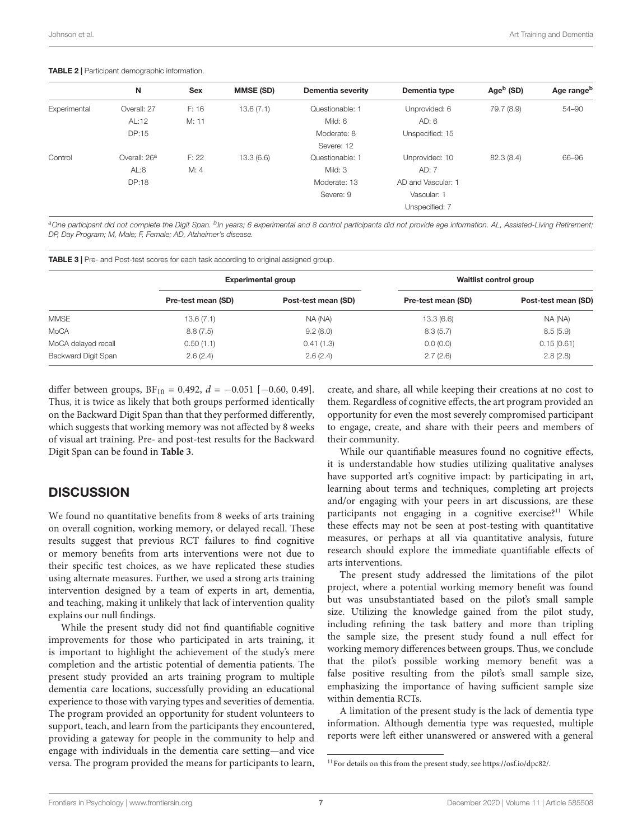#### <span id="page-6-0"></span>TABLE 2 | Participant demographic information.

|              | N                        | <b>Sex</b> | <b>MMSE (SD)</b> | Dementia severity | Dementia type      | Age $b$ (SD) | Age rangeb |
|--------------|--------------------------|------------|------------------|-------------------|--------------------|--------------|------------|
| Experimental | Overall: 27              | F: 16      | 13.6(7.1)        | Questionable: 1   | Unprovided: 6      | 79.7 (8.9)   | 54-90      |
|              | AL:12                    | M: 11      |                  | Mild: 6           | AD: 6              |              |            |
|              | DP:15                    |            |                  | Moderate: 8       | Unspecified: 15    |              |            |
|              |                          |            |                  | Severe: 12        |                    |              |            |
| Control      | Overall: 26 <sup>a</sup> | F: 22      | 13.3(6.6)        | Questionable: 1   | Unprovided: 10     | 82.3 (8.4)   | 66-96      |
|              | AL:8                     | M: 4       |                  | Mild: 3           | AD: 7              |              |            |
|              | DP:18                    |            |                  | Moderate: 13      | AD and Vascular: 1 |              |            |
|              |                          |            |                  | Severe: 9         | Vascular: 1        |              |            |
|              |                          |            |                  |                   | Unspecified: 7     |              |            |

<sup>a</sup>One participant did not complete the Digit Span. <sup>b</sup>In years; 6 experimental and 8 control participants did not provide age information. AL, Assisted-Living Retirement; DP, Day Program; M, Male; F, Female; AD, Alzheimer's disease.

<span id="page-6-1"></span>

|  | <b>TABLE 3</b>   Pre- and Post-test scores for each task according to original assigned group. |  |
|--|------------------------------------------------------------------------------------------------|--|
|  |                                                                                                |  |

|                     | <b>Experimental group</b> |                     | Waitlist control group |                     |
|---------------------|---------------------------|---------------------|------------------------|---------------------|
|                     | Pre-test mean (SD)        | Post-test mean (SD) | Pre-test mean (SD)     | Post-test mean (SD) |
| MMSE                | 13.6(7.1)                 | NA (NA)             | 13.3(6.6)              | NA (NA)             |
| MoCA                | 8.8(7.5)                  | 9.2(8.0)            | 8.3(5.7)               | 8.5(5.9)            |
| MoCA delayed recall | 0.50(1.1)                 | 0.41(1.3)           | 0.0(0.0)               | 0.15(0.61)          |
| Backward Digit Span | 2.6(2.4)                  | 2.6(2.4)            | 2.7(2.6)               | 2.8(2.8)            |

differ between groups,  $BF_{10} = 0.492$ ,  $d = -0.051$  [-0.60, 0.49]. Thus, it is twice as likely that both groups performed identically on the Backward Digit Span than that they performed differently, which suggests that working memory was not affected by 8 weeks of visual art training. Pre- and post-test results for the Backward Digit Span can be found in **[Table 3](#page-6-1)**.

# **DISCUSSION**

We found no quantitative benefits from 8 weeks of arts training on overall cognition, working memory, or delayed recall. These results suggest that previous RCT failures to find cognitive or memory benefits from arts interventions were not due to their specific test choices, as we have replicated these studies using alternate measures. Further, we used a strong arts training intervention designed by a team of experts in art, dementia, and teaching, making it unlikely that lack of intervention quality explains our null findings.

While the present study did not find quantifiable cognitive improvements for those who participated in arts training, it is important to highlight the achievement of the study's mere completion and the artistic potential of dementia patients. The present study provided an arts training program to multiple dementia care locations, successfully providing an educational experience to those with varying types and severities of dementia. The program provided an opportunity for student volunteers to support, teach, and learn from the participants they encountered, providing a gateway for people in the community to help and engage with individuals in the dementia care setting—and vice versa. The program provided the means for participants to learn,

create, and share, all while keeping their creations at no cost to them. Regardless of cognitive effects, the art program provided an opportunity for even the most severely compromised participant to engage, create, and share with their peers and members of their community.

While our quantifiable measures found no cognitive effects, it is understandable how studies utilizing qualitative analyses have supported art's cognitive impact: by participating in art, learning about terms and techniques, completing art projects and/or engaging with your peers in art discussions, are these participants not engaging in a cognitive exercise?<sup>[11](#page-6-2)</sup> While these effects may not be seen at post-testing with quantitative measures, or perhaps at all via quantitative analysis, future research should explore the immediate quantifiable effects of arts interventions.

The present study addressed the limitations of the pilot project, where a potential working memory benefit was found but was unsubstantiated based on the pilot's small sample size. Utilizing the knowledge gained from the pilot study, including refining the task battery and more than tripling the sample size, the present study found a null effect for working memory differences between groups. Thus, we conclude that the pilot's possible working memory benefit was a false positive resulting from the pilot's small sample size, emphasizing the importance of having sufficient sample size within dementia RCTs.

A limitation of the present study is the lack of dementia type information. Although dementia type was requested, multiple reports were left either unanswered or answered with a general

<span id="page-6-2"></span> $^{11}\rm{For}$  details on this from the present study, see [https://osf.io/dpc82/.](https://osf.io/dpc82/)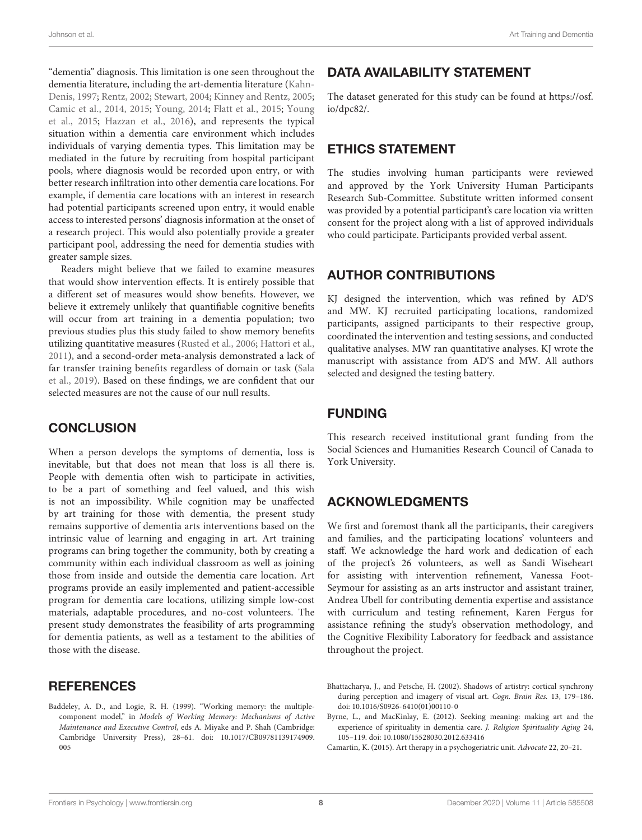"dementia" diagnosis. This limitation is one seen throughout the dementia literature, including the art-dementia literature [\(Kahn-](#page-8-0)[Denis,](#page-8-0) [1997;](#page-8-0) [Rentz,](#page-8-20) [2002;](#page-8-20) [Stewart,](#page-8-1) [2004;](#page-8-1) [Kinney and Rentz,](#page-8-21) [2005;](#page-8-21) [Camic et al.,](#page-8-14) [2014,](#page-8-14) [2015;](#page-8-28) [Young,](#page-9-0) [2014;](#page-9-0) [Flatt et al.,](#page-8-29) [2015;](#page-8-29) [Young](#page-9-1) [et al.,](#page-9-1) [2015;](#page-9-1) [Hazzan et al.,](#page-8-36) [2016\)](#page-8-36), and represents the typical situation within a dementia care environment which includes individuals of varying dementia types. This limitation may be mediated in the future by recruiting from hospital participant pools, where diagnosis would be recorded upon entry, or with better research infiltration into other dementia care locations. For example, if dementia care locations with an interest in research had potential participants screened upon entry, it would enable access to interested persons' diagnosis information at the onset of a research project. This would also potentially provide a greater participant pool, addressing the need for dementia studies with greater sample sizes.

Readers might believe that we failed to examine measures that would show intervention effects. It is entirely possible that a different set of measures would show benefits. However, we believe it extremely unlikely that quantifiable cognitive benefits will occur from art training in a dementia population; two previous studies plus this study failed to show memory benefits utilizing quantitative measures [\(Rusted et al.,](#page-8-25) [2006;](#page-8-25) [Hattori et al.,](#page-8-26) [2011\)](#page-8-26), and a second-order meta-analysis demonstrated a lack of far transfer training benefits regardless of domain or task [\(Sala](#page-8-43) [et al.,](#page-8-43) [2019\)](#page-8-43). Based on these findings, we are confident that our selected measures are not the cause of our null results.

# **CONCLUSION**

When a person develops the symptoms of dementia, loss is inevitable, but that does not mean that loss is all there is. People with dementia often wish to participate in activities, to be a part of something and feel valued, and this wish is not an impossibility. While cognition may be unaffected by art training for those with dementia, the present study remains supportive of dementia arts interventions based on the intrinsic value of learning and engaging in art. Art training programs can bring together the community, both by creating a community within each individual classroom as well as joining those from inside and outside the dementia care location. Art programs provide an easily implemented and patient-accessible program for dementia care locations, utilizing simple low-cost materials, adaptable procedures, and no-cost volunteers. The present study demonstrates the feasibility of arts programming for dementia patients, as well as a testament to the abilities of those with the disease.

#### **REFERENCES**

<span id="page-7-1"></span>Baddeley, A. D., and Logie, R. H. (1999). "Working memory: the multiplecomponent model," in Models of Working Memory: Mechanisms of Active Maintenance and Executive Control, eds A. Miyake and P. Shah (Cambridge: Cambridge University Press), 28–61. [doi: 10.1017/CB09781139174909.](https://doi.org/10.1017/CB09781139174909.005) [005](https://doi.org/10.1017/CB09781139174909.005)

# DATA AVAILABILITY STATEMENT

The dataset generated for this study can be found at [https://osf.](https://osf.io/dpc82/) [io/dpc82/.](https://osf.io/dpc82/)

#### ETHICS STATEMENT

The studies involving human participants were reviewed and approved by the York University Human Participants Research Sub-Committee. Substitute written informed consent was provided by a potential participant's care location via written consent for the project along with a list of approved individuals who could participate. Participants provided verbal assent.

# AUTHOR CONTRIBUTIONS

KJ designed the intervention, which was refined by AD'S and MW. KJ recruited participating locations, randomized participants, assigned participants to their respective group, coordinated the intervention and testing sessions, and conducted qualitative analyses. MW ran quantitative analyses. KJ wrote the manuscript with assistance from AD'S and MW. All authors selected and designed the testing battery.

#### FUNDING

This research received institutional grant funding from the Social Sciences and Humanities Research Council of Canada to York University.

# ACKNOWLEDGMENTS

We first and foremost thank all the participants, their caregivers and families, and the participating locations' volunteers and staff. We acknowledge the hard work and dedication of each of the project's 26 volunteers, as well as Sandi Wiseheart for assisting with intervention refinement, Vanessa Foot-Seymour for assisting as an arts instructor and assistant trainer, Andrea Ubell for contributing dementia expertise and assistance with curriculum and testing refinement, Karen Fergus for assistance refining the study's observation methodology, and the Cognitive Flexibility Laboratory for feedback and assistance throughout the project.

- <span id="page-7-3"></span>Byrne, L., and MacKinlay, E. (2012). Seeking meaning: making art and the experience of spirituality in dementia care. J. Religion Spirituality Aging 24, 105–119. [doi: 10.1080/15528030.2012.633416](https://doi.org/10.1080/15528030.2012.633416)
- <span id="page-7-0"></span>Camartin, K. (2015). Art therapy in a psychogeriatric unit. Advocate 22, 20–21.

<span id="page-7-2"></span>Bhattacharya, J., and Petsche, H. (2002). Shadows of artistry: cortical synchrony during perception and imagery of visual art. Cogn. Brain Res. 13, 179–186. [doi: 10.1016/S0926-6410\(01\)00110-0](https://doi.org/10.1016/S0926-6410(01)00110-0)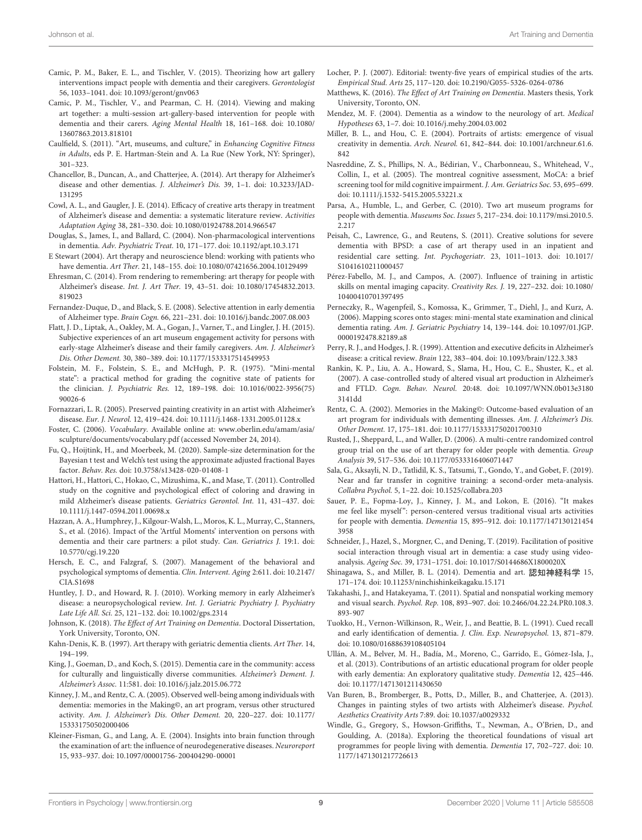- <span id="page-8-28"></span>Camic, P. M., Baker, E. L., and Tischler, V. (2015). Theorizing how art gallery interventions impact people with dementia and their caregivers. Gerontologist 56, 1033–1041. [doi: 10.1093/geront/gnv063](https://doi.org/10.1093/geront/gnv063)
- <span id="page-8-14"></span>Camic, P. M., Tischler, V., and Pearman, C. H. (2014). Viewing and making art together: a multi-session art-gallery-based intervention for people with dementia and their carers. Aging Mental Health 18, 161–168. [doi: 10.1080/](https://doi.org/10.1080/13607863.2013.818101) [13607863.2013.818101](https://doi.org/10.1080/13607863.2013.818101)
- <span id="page-8-3"></span>Caulfield, S. (2011). "Art, museums, and culture," in Enhancing Cognitive Fitness in Adults, eds P. E. Hartman-Stein and A. La Rue (New York, NY: Springer), 301–323.
- <span id="page-8-15"></span>Chancellor, B., Duncan, A., and Chatterjee, A. (2014). Art therapy for Alzheimer's disease and other dementias. J. Alzheimer's Dis. 39, 1–1. [doi: 10.3233/JAD-](https://doi.org/10.3233/JAD-131295)[131295](https://doi.org/10.3233/JAD-131295)
- <span id="page-8-24"></span>Cowl, A. L., and Gaugler, J. E. (2014). Efficacy of creative arts therapy in treatment of Alzheimer's disease and dementia: a systematic literature review. Activities Adaptation Aging 38, 281–330. [doi: 10.1080/01924788.2014.966547](https://doi.org/10.1080/01924788.2014.966547)
- <span id="page-8-4"></span>Douglas, S., James, I., and Ballard, C. (2004). Non-pharmacological interventions in dementia. Adv. Psychiatric Treat. 10, 171–177. [doi: 10.1192/apt.10.3.171](https://doi.org/10.1192/apt.10.3.171)
- <span id="page-8-1"></span>E Stewart (2004). Art therapy and neuroscience blend: working with patients who have dementia. Art Ther. 21, 148–155. [doi: 10.1080/07421656.2004.10129499](https://doi.org/10.1080/07421656.2004.10129499)
- <span id="page-8-16"></span>Ehresman, C. (2014). From rendering to remembering: art therapy for people with Alzheimer's disease. Int. J. Art Ther. 19, 43–51. [doi: 10.1080/17454832.2013.](https://doi.org/10.1080/17454832.2013.819023) [819023](https://doi.org/10.1080/17454832.2013.819023)
- <span id="page-8-38"></span>Fernandez-Duque, D., and Black, S. E. (2008). Selective attention in early dementia of Alzheimer type. Brain Cogn. 66, 221–231. [doi: 10.1016/j.bandc.2007.08.003](https://doi.org/10.1016/j.bandc.2007.08.003)
- <span id="page-8-29"></span>Flatt, J. D., Liptak, A., Oakley, M. A., Gogan, J., Varner, T., and Lingler, J. H. (2015). Subjective experiences of an art museum engagement activity for persons with early-stage Alzheimer's disease and their family caregivers. Am. J. Alzheimer's Dis. Other Dement. 30, 380–389. [doi: 10.1177/1533317514549953](https://doi.org/10.1177/1533317514549953)
- <span id="page-8-33"></span>Folstein, M. F., Folstein, S. E., and McHugh, P. R. (1975). "Mini-mental state": a practical method for grading the cognitive state of patients for the clinician. J. Psychiatric Res. 12, 189–198. [doi: 10.1016/0022-3956\(75\)](https://doi.org/10.1016/0022-3956(75)90026-6) [90026-6](https://doi.org/10.1016/0022-3956(75)90026-6)
- <span id="page-8-8"></span>Fornazzari, L. R. (2005). Preserved painting creativity in an artist with Alzheimer's disease. Eur. J. Neurol. 12, 419–424. [doi: 10.1111/j.1468-1331.2005.01128.x](https://doi.org/10.1111/j.1468-1331.2005.01128.x)
- <span id="page-8-35"></span>Foster, C. (2006). Vocabulary. Available online at: [www.oberlin.edu/amam/asia/](http://www.oberlin.edu/amam/asia/sculpture/documents/vocabulary.pdf) [sculpture/documents/vocabulary.pdf](http://www.oberlin.edu/amam/asia/sculpture/documents/vocabulary.pdf) (accessed November 24, 2014).
- <span id="page-8-41"></span>Fu, Q., Hoijtink, H., and Moerbeek, M. (2020). Sample-size determination for the Bayesian t test and Welch's test using the approximate adjusted fractional Bayes factor. Behav. Res. [doi: 10.3758/s13428-020-01408-1](https://doi.org/10.3758/s13428-020-01408-1)
- <span id="page-8-26"></span>Hattori, H., Hattori, C., Hokao, C., Mizushima, K., and Mase, T. (2011). Controlled study on the cognitive and psychological effect of coloring and drawing in mild Alzheimer's disease patients. Geriatrics Gerontol. Int. 11, 431–437. [doi:](https://doi.org/10.1111/j.1447-0594.2011.00698.x) [10.1111/j.1447-0594.2011.00698.x](https://doi.org/10.1111/j.1447-0594.2011.00698.x)
- <span id="page-8-36"></span>Hazzan, A. A., Humphrey, J., Kilgour-Walsh, L., Moros, K. L., Murray, C., Stanners, S., et al. (2016). Impact of the 'Artful Moments' intervention on persons with dementia and their care partners: a pilot study. Can. Geriatrics J. 19:1. [doi:](https://doi.org/10.5770/cgj.19.220) [10.5770/cgj.19.220](https://doi.org/10.5770/cgj.19.220)
- <span id="page-8-2"></span>Hersch, E. C., and Falzgraf, S. (2007). Management of the behavioral and psychological symptoms of dementia. Clin. Intervent. Aging 2:611. [doi: 10.2147/](https://doi.org/10.2147/CIA.S1698) [CIA.S1698](https://doi.org/10.2147/CIA.S1698)
- <span id="page-8-39"></span>Huntley, J. D., and Howard, R. J. (2010). Working memory in early Alzheimer's disease: a neuropsychological review. Int. J. Geriatric Psychiatry J. Psychiatry Late Life All. Sci. 25, 121–132. [doi: 10.1002/gps.2314](https://doi.org/10.1002/gps.2314)
- <span id="page-8-42"></span>Johnson, K. (2018). The Effect of Art Training on Dementia. Doctoral Dissertation, York University, Toronto, ON.
- <span id="page-8-0"></span>Kahn-Denis, K. B. (1997). Art therapy with geriatric dementia clients. Art Ther. 14, 194–199.
- <span id="page-8-34"></span>King, J., Goeman, D., and Koch, S. (2015). Dementia care in the community: access for culturally and linguistically diverse communities. Alzheimer's Dement. J. Alzheimer's Assoc. 11:581. [doi: 10.1016/j.jalz.2015.06.772](https://doi.org/10.1016/j.jalz.2015.06.772)
- <span id="page-8-21"></span>Kinney, J. M., and Rentz, C. A. (2005). Observed well-being among individuals with dementia: memories in the Making©, an art program, versus other structured activity. Am. J. Alzheimer's Dis. Other Dement. 20, 220–227. [doi: 10.1177/](https://doi.org/10.1177/153331750502000406) [153331750502000406](https://doi.org/10.1177/153331750502000406)
- <span id="page-8-6"></span>Kleiner-Fisman, G., and Lang, A. E. (2004). Insights into brain function through the examination of art: the influence of neurodegenerative diseases. Neuroreport 15, 933–937. [doi: 10.1097/00001756-200404290-00001](https://doi.org/10.1097/00001756-200404290-00001)
- <span id="page-8-31"></span>Locher, P. J. (2007). Editorial: twenty-five years of empirical studies of the arts. Empirical Stud. Arts 25, 117–120. [doi: 10.2190/G055-5326-0264-0786](https://doi.org/10.2190/G055-5326-0264-0786)
- <span id="page-8-32"></span>Matthews, K. (2016). The Effect of Art Training on Dementia. Masters thesis, York University, Toronto, ON.
- <span id="page-8-10"></span>Mendez, M. F. (2004). Dementia as a window to the neurology of art. Medical Hypotheses 63, 1–7. [doi: 10.1016/j.mehy.2004.03.002](https://doi.org/10.1016/j.mehy.2004.03.002)
- <span id="page-8-7"></span>Miller, B. L., and Hou, C. E. (2004). Portraits of artists: emergence of visual creativity in dementia. Arch. Neurol. 61, 842–844. [doi: 10.1001/archneur.61.6.](https://doi.org/10.1001/archneur.61.6.842) [842](https://doi.org/10.1001/archneur.61.6.842)
- <span id="page-8-40"></span>Nasreddine, Z. S., Phillips, N. A., Bédirian, V., Charbonneau, S., Whitehead, V., Collin, I., et al. (2005). The montreal cognitive assessment, MoCA: a brief screening tool for mild cognitive impairment. J. Am. Geriatrics Soc. 53, 695–699. [doi: 10.1111/j.1532-5415.2005.53221.x](https://doi.org/10.1111/j.1532-5415.2005.53221.x)
- <span id="page-8-22"></span>Parsa, A., Humble, L., and Gerber, C. (2010). Two art museum programs for people with dementia. Museums Soc. Issues 5, 217–234. [doi: 10.1179/msi.2010.5.](https://doi.org/10.1179/msi.2010.5.2.217) [2.217](https://doi.org/10.1179/msi.2010.5.2.217)
- <span id="page-8-23"></span>Peisah, C., Lawrence, G., and Reutens, S. (2011). Creative solutions for severe dementia with BPSD: a case of art therapy used in an inpatient and residential care setting. Int. Psychogeriatr. 23, 1011–1013. [doi: 10.1017/](https://doi.org/10.1017/S1041610211000457) [S1041610211000457](https://doi.org/10.1017/S1041610211000457)
- <span id="page-8-17"></span>Pérez-Fabello, M. J., and Campos, A. (2007). Influence of training in artistic skills on mental imaging capacity. Creativity Res. J. 19, 227–232. [doi: 10.1080/](https://doi.org/10.1080/10400410701397495) [10400410701397495](https://doi.org/10.1080/10400410701397495)
- <span id="page-8-44"></span>Perneczky, R., Wagenpfeil, S., Komossa, K., Grimmer, T., Diehl, J., and Kurz, A. (2006). Mapping scores onto stages: mini-mental state examination and clinical dementia rating. Am. J. Geriatric Psychiatry 14, 139–144. [doi: 10.1097/01.JGP.](https://doi.org/10.1097/01.JGP.0000192478.82189.a8) [0000192478.82189.a8](https://doi.org/10.1097/01.JGP.0000192478.82189.a8)
- <span id="page-8-13"></span>Perry, R. J., and Hodges, J. R. (1999). Attention and executive deficits in Alzheimer's disease: a critical review. Brain 122, 383–404. [doi: 10.1093/brain/122.3.383](https://doi.org/10.1093/brain/122.3.383)
- <span id="page-8-37"></span>Rankin, K. P., Liu, A. A., Howard, S., Slama, H., Hou, C. E., Shuster, K., et al. (2007). A case-controlled study of altered visual art production in Alzheimer's and FTLD. Cogn. Behav. Neurol. 20:48. [doi: 10.1097/WNN.0b013e3180](https://doi.org/10.1097/WNN.0b013e31803141dd) [3141dd](https://doi.org/10.1097/WNN.0b013e31803141dd)
- <span id="page-8-20"></span>Rentz, C. A. (2002). Memories in the Making©: Outcome-based evaluation of an art program for individuals with dementing illnesses. Am. J. Alzheimer's Dis. Other Dement. 17, 175–181. [doi: 10.1177/153331750201700310](https://doi.org/10.1177/153331750201700310)
- <span id="page-8-25"></span>Rusted, J., Sheppard, L., and Waller, D. (2006). A multi-centre randomized control group trial on the use of art therapy for older people with dementia. Group Analysis 39, 517–536. [doi: 10.1177/0533316406071447](https://doi.org/10.1177/0533316406071447)
- <span id="page-8-43"></span>Sala, G., Aksayli, N. D., Tatlidil, K. S., Tatsumi, T., Gondo, Y., and Gobet, F. (2019). Near and far transfer in cognitive training: a second-order meta-analysis. Collabra Psychol. 5, 1–22. [doi: 10.1525/collabra.203](https://doi.org/10.1525/collabra.203)
- <span id="page-8-5"></span>Sauer, P. E., Fopma-Loy, J., Kinney, J. M., and Lokon, E. (2016). "It makes me feel like myself": person-centered versus traditional visual arts activities for people with dementia. Dementia 15, 895–912. [doi: 10.1177/147130121454](https://doi.org/10.1177/1471301214543958) [3958](https://doi.org/10.1177/1471301214543958)
- <span id="page-8-12"></span>Schneider, J., Hazel, S., Morgner, C., and Dening, T. (2019). Facilitation of positive social interaction through visual art in dementia: a case study using videoanalysis. Ageing Soc. 39, 1731–1751. [doi: 10.1017/S0144686X1800020X](https://doi.org/10.1017/S0144686X1800020X)
- <span id="page-8-9"></span>Shinagawa, S., and Miller, B. L. (2014). Dementia and art. 認知神経科学 15, 171–174. [doi: 10.11253/ninchishinkeikagaku.15.171](https://doi.org/10.11253/ninchishinkeikagaku.15.171)
- <span id="page-8-18"></span>Takahashi, J., and Hatakeyama, T. (2011). Spatial and nonspatial working memory and visual search. Psychol. Rep. 108, 893–907. [doi: 10.2466/04.22.24.PR0.108.3.](https://doi.org/10.2466/04.22.24.PR0.108.3.893-907) [893-907](https://doi.org/10.2466/04.22.24.PR0.108.3.893-907)
- <span id="page-8-30"></span>Tuokko, H., Vernon-Wilkinson, R., Weir, J., and Beattie, B. L. (1991). Cued recall and early identification of dementia. J. Clin. Exp. Neuropsychol. 13, 871–879. [doi: 10.1080/01688639108405104](https://doi.org/10.1080/01688639108405104)
- <span id="page-8-27"></span>Ullán, A. M., Belver, M. H., Badía, M., Moreno, C., Garrido, E., Gómez-Isla, J., et al. (2013). Contributions of an artistic educational program for older people with early dementia: An exploratory qualitative study. Dementia 12, 425–446. [doi: 10.1177/1471301211430650](https://doi.org/10.1177/1471301211430650)
- <span id="page-8-11"></span>Van Buren, B., Bromberger, B., Potts, D., Miller, B., and Chatterjee, A. (2013). Changes in painting styles of two artists with Alzheimer's disease. Psychol. Aesthetics Creativity Arts 7:89. [doi: 10.1037/a0029332](https://doi.org/10.1037/a0029332)
- <span id="page-8-19"></span>Windle, G., Gregory, S., Howson-Griffiths, T., Newman, A., O'Brien, D., and Goulding, A. (2018a). Exploring the theoretical foundations of visual art programmes for people living with dementia. Dementia 17, 702–727. [doi: 10.](https://doi.org/10.1177/1471301217726613) [1177/1471301217726613](https://doi.org/10.1177/1471301217726613)